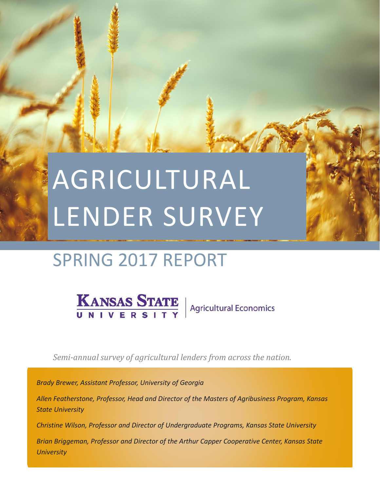# SPRING 2017 REPORT

KANSAS STATE Agricultural Economics

*Semi-annual survey of agricultural lenders from across the nation.*

*Brady Brewer, Assistant Professor, University of Georgia*

*Allen Featherstone, Professor, Head and Director of the Masters of Agribusiness Program, Kansas State University*

*Christine Wilson, Professor and Director of Undergraduate Programs, Kansas State University*

*Brian Briggeman, Professor and Director of the Arthur Capper Cooperative Center, Kansas State University*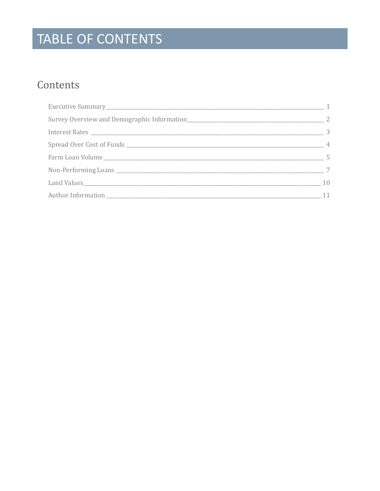# TABLE OF CONTENTS

### Contents

| $\overline{1}$ |
|----------------|
|                |
|                |
|                |
|                |
|                |
| 10             |
| 11             |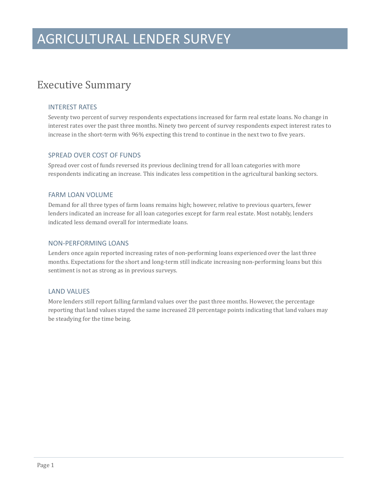### <span id="page-2-0"></span>Executive Summary

#### INTEREST RATES

Seventy two percent of survey respondents expectations increased for farm real estate loans. No change in interest rates over the past three months. Ninety two percent of survey respondents expect interest rates to increase in the short-term with 96% expecting this trend to continue in the next two to five years.

#### SPREAD OVER COST OF FUNDS

Spread over cost of funds reversed its previous declining trend for all loan categories with more respondents indicating an increase. This indicates less competition in the agricultural banking sectors.

#### FARM LOAN VOLUME

Demand for all three types of farm loans remains high; however, relative to previous quarters, fewer lenders indicated an increase for all loan categories except for farm real estate. Most notably, lenders indicated less demand overall for intermediate loans.

#### NON-PERFORMING LOANS

Lenders once again reported increasing rates of non-performing loans experienced over the last three months. Expectations for the short and long-term still indicate increasing non-performing loans but this sentiment is not as strong as in previous surveys.

#### LAND VALUES

More lenders still report falling farmland values over the past three months. However, the percentage reporting that land values stayed the same increased 28 percentage points indicating that land values may be steadying for the time being.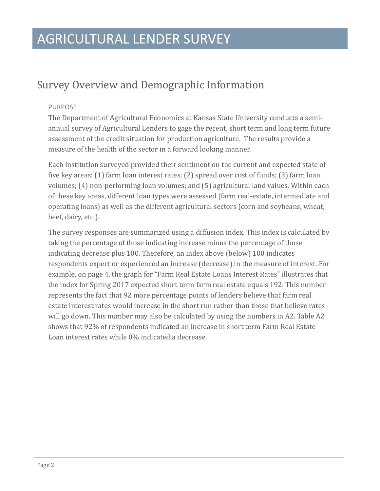### <span id="page-3-0"></span>Survey Overview and Demographic Information

#### PURPOSE

The Department of Agricultural Economics at Kansas State University conducts a semiannual survey of Agricultural Lenders to gage the recent, short term and long term future assessment of the credit situation for production agriculture. The results provide a measure of the health of the sector in a forward looking manner.

Each institution surveyed provided their sentiment on the current and expected state of five key areas: (1) farm loan interest rates; (2) spread over cost of funds; (3) farm loan volumes; (4) non-performing loan volumes; and (5) agricultural land values. Within each of these key areas, different loan types were assessed (farm real-estate, intermediate and operating loans) as well as the different agricultural sectors (corn and soybeans, wheat, beef, dairy, etc.).

The survey responses are summarized using a diffusion index. This index is calculated by taking the percentage of those indicating increase minus the percentage of those indicating decrease plus 100. Therefore, an index above (below) 100 indicates respondents expect or experienced an increase (decrease) in the measure of interest. For example, on page 4, the graph for "Farm Real Estate Loans Interest Rates" illustrates that the index for Spring 2017 expected short term farm real estate equals 192. This number represents the fact that 92 more percentage points of lenders believe that farm real estate interest rates would increase in the short run rather than those that believe rates will go down. This number may also be calculated by using the numbers in A2. Table A2 shows that 92% of respondents indicated an increase in short term Farm Real Estate Loan interest rates while 0% indicated a decrease.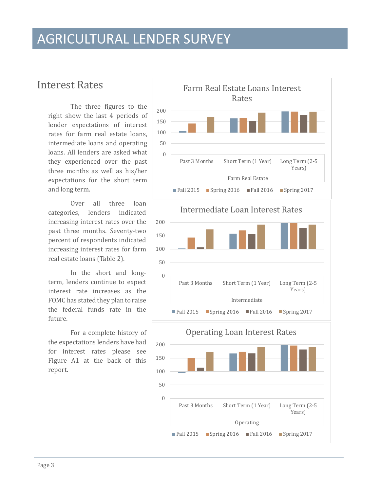### <span id="page-4-0"></span>Interest Rates

The three figures to the right show the last 4 periods of lender expectations of interest rates for farm real estate loans, intermediate loans and operating loans. All lenders are asked what they experienced over the past three months as well as his/her expectations for the short term and long term.

Over all three loan categories, lenders indicated increasing interest rates over the past three months. Seventy-two percent of respondents indicated increasing interest rates for farm real estate loans (Table 2).

In the short and longterm, lenders continue to expect interest rate increases as the FOMC has stated they plan to raise the federal funds rate in the future.

For a complete history of the expectations lenders have had for interest rates please see Figure A1 at the back of this report.

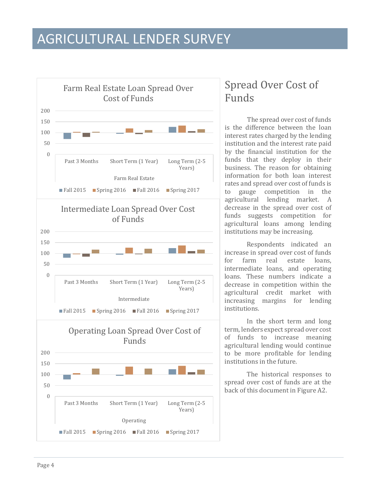

### <span id="page-5-0"></span>Spread Over Cost of Funds

The spread over cost of funds is the difference between the loan interest rates charged by the lending institution and the interest rate paid by the financial institution for the funds that they deploy in their business. The reason for obtaining information for both loan interest rates and spread over cost of funds is to gauge competition in the agricultural lending market. A decrease in the spread over cost of funds suggests competition for agricultural loans among lending institutions may be increasing.

Respondents indicated an increase in spread over cost of funds<br>for farm real estate loans. farm real estate loans. intermediate loans, and operating loans. These numbers indicate a decrease in competition within the agricultural credit market with increasing margins for lending institutions.

In the short term and long term, lenders expect spread over cost of funds to increase meaning agricultural lending would continue to be more profitable for lending institutions in the future.

The historical responses to spread over cost of funds are at the back of this document in Figure A2.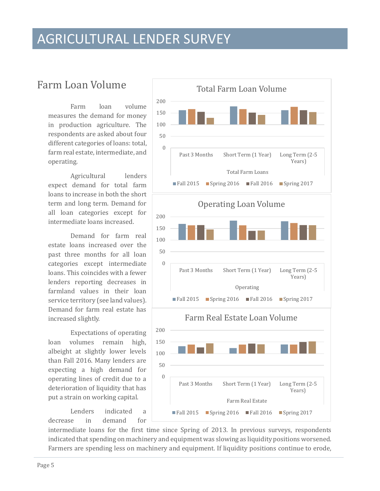### <span id="page-6-0"></span>Farm Loan Volume

Farm loan volume measures the demand for money in production agriculture. The respondents are asked about four different categories of loans: total, farm real estate, intermediate, and operating.

Agricultural lenders expect demand for total farm loans to increase in both the short term and long term. Demand for all loan categories except for intermediate loans increased.

Demand for farm real estate loans increased over the past three months for all loan categories except intermediate loans. This coincides with a fewer lenders reporting decreases in farmland values in their loan service territory (see land values). Demand for farm real estate has increased slightly.

Expectations of operating loan volumes remain high, albeight at slightly lower levels than Fall 2016. Many lenders are expecting a high demand for operating lines of credit due to a deterioration of liquidity that has put a strain on working capital.

Lenders indicated a<br>
in demand for decrease in demand for



intermediate loans for the first time since Spring of 2013. In previous surveys, respondents indicated that spending on machinery and equipment was slowing as liquidity positions worsened. Farmers are spending less on machinery and equipment. If liquidity positions continue to erode,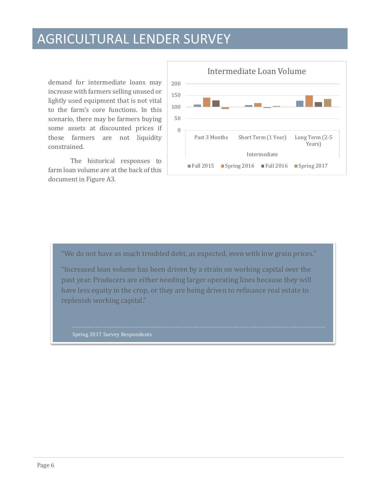demand for intermediate loans may increase with farmers selling unused or lightly used equipment that is not vital to the farm's core functions. In this scenario, there may be farmers buying some assets at discounted prices if those farmers are not liquidity constrained.

The historical responses to farm loan volume are at the back of this document in Figure A3.



"We do not have as much troubled debt, as expected, even with low grain prices."

"Increased loan volume has been driven by a strain on working capital over the past year. Producers are either needing larger operating lines because they will have less equity in the crop, or they are being driven to refinance real estate to replenish working capital."

Spring 2017 Survey Respondents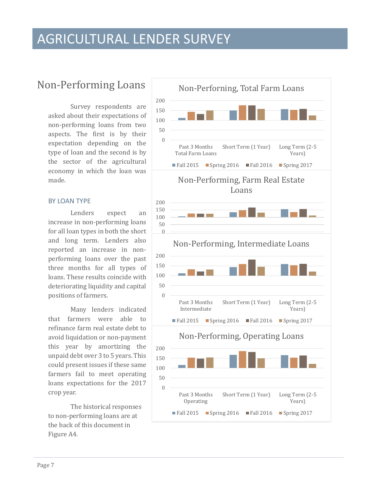### <span id="page-8-0"></span>Non-Performing Loans

Survey respondents are asked about their expectations of non-performing loans from two aspects. The first is by their expectation depending on the type of loan and the second is by the sector of the agricultural economy in which the loan was made.

#### BY LOAN TYPE

Lenders expect an increase in non-performing loans for all loan types in both the short and long term. Lenders also reported an increase in nonperforming loans over the past three months for all types of loans. These results coincide with deteriorating liquidity and capital positions of farmers.

Many lenders indicated that farmers were able to refinance farm real estate debt to avoid liquidation or non-payment this year by amortizing the unpaid debt over 3 to 5 years. This could present issues if these same farmers fail to meet operating loans expectations for the 2017 crop year.

The historical responses to non-performing loans are at the back of this document in Figure A4.

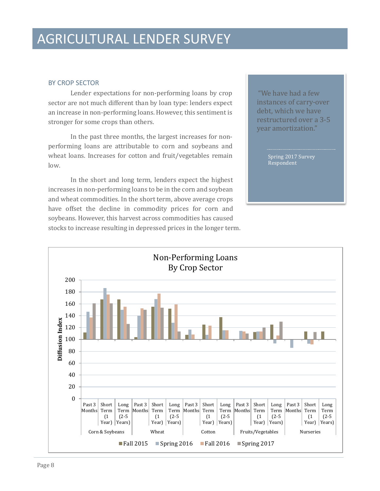#### BY CROP SECTOR

Lender expectations for non-performing loans by crop sector are not much different than by loan type: lenders expect an increase in non-performing loans. However, this sentiment is stronger for some crops than others.

In the past three months, the largest increases for nonperforming loans are attributable to corn and soybeans and wheat loans. Increases for cotton and fruit/vegetables remain low.

In the short and long term, lenders expect the highest increases in non-performing loans to be in the corn and soybean and wheat commodities. In the short term, above average crops have offset the decline in commodity prices for corn and soybeans. However, this harvest across commodities has caused stocks to increase resulting in depressed prices in the longer term.

"We have had a few instances of carry-over debt, which we have restructured over a 3-5 year amortization."

> Spring 2017 Survey Respondent

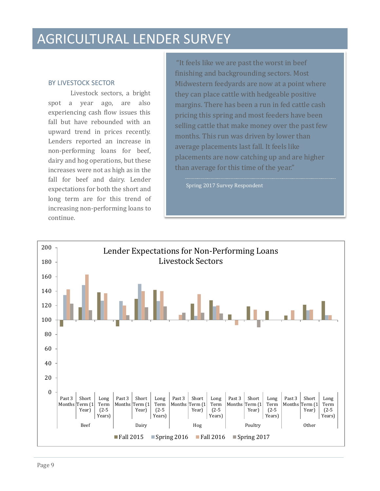#### BY LIVESTOCK SECTOR

Livestock sectors, a bright spot a year ago, are also experiencing cash flow issues this fall but have rebounded with an upward trend in prices recently. Lenders reported an increase in non-performing loans for beef, dairy and hog operations, but these increases were not as high as in the fall for beef and dairy. Lender expectations for both the short and long term are for this trend of increasing non-performing loans to continue.

"It feels like we are past the worst in beef finishing and backgrounding sectors. Most Midwestern feedyards are now at a point where they can place cattle with hedgeable positive margins. There has been a run in fed cattle cash pricing this spring and most feeders have been selling cattle that make money over the past few months. This run was driven by lower than average placements last fall. It feels like placements are now catching up and are higher than average for this time of the year."

Spring 2017 Survey Respondent

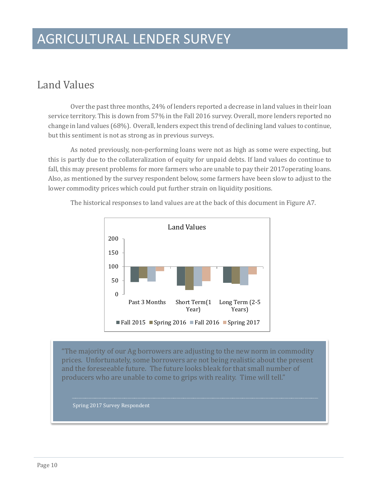### <span id="page-11-0"></span>Land Values

Over the past three months, 24% of lenders reported a decrease in land values in their loan service territory. This is down from 57% in the Fall 2016 survey. Overall, more lenders reported no change in land values (68%). Overall, lenders expect this trend of declining land values to continue, but this sentiment is not as strong as in previous surveys.

As noted previously, non-performing loans were not as high as some were expecting, but this is partly due to the collateralization of equity for unpaid debts. If land values do continue to fall, this may present problems for more farmers who are unable to pay their 2017operating loans. Also, as mentioned by the survey respondent below, some farmers have been slow to adjust to the lower commodity prices which could put further strain on liquidity positions.



The historical responses to land values are at the back of this document in Figure A7.

"The majority of our Ag borrowers are adjusting to the new norm in commodity prices. Unfortunately, some borrowers are not being realistic about the present and the foreseeable future. The future looks bleak for that small number of producers who are unable to come to grips with reality. Time will tell."

Spring 2017 Survey Respondent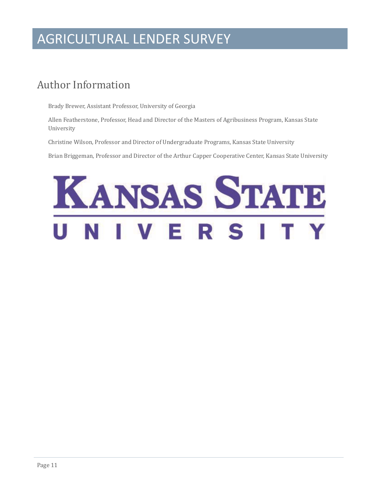### <span id="page-12-0"></span>Author Information

Brady Brewer, Assistant Professor, University of Georgia

Allen Featherstone, Professor, Head and Director of the Masters of Agribusiness Program, Kansas State University

Christine Wilson, Professor and Director of Undergraduate Programs, Kansas State University

Brian Briggeman, Professor and Director of the Arthur Capper Cooperative Center, Kansas State University

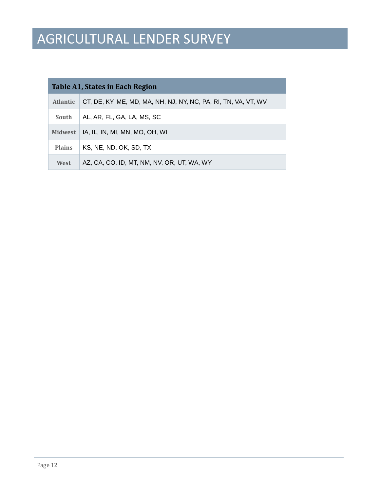| Table A1, States in Each Region |                                                                |  |  |  |  |  |  |  |  |  |  |
|---------------------------------|----------------------------------------------------------------|--|--|--|--|--|--|--|--|--|--|
| <b>Atlantic</b>                 | CT, DE, KY, ME, MD, MA, NH, NJ, NY, NC, PA, RI, TN, VA, VT, WV |  |  |  |  |  |  |  |  |  |  |
| South                           | AL, AR, FL, GA, LA, MS, SC                                     |  |  |  |  |  |  |  |  |  |  |
| <b>Midwest</b>                  | IA, IL, IN, MI, MN, MO, OH, WI                                 |  |  |  |  |  |  |  |  |  |  |
| <b>Plains</b>                   | KS, NE, ND, OK, SD, TX                                         |  |  |  |  |  |  |  |  |  |  |
| West                            | AZ, CA, CO, ID, MT, NM, NV, OR, UT, WA, WY                     |  |  |  |  |  |  |  |  |  |  |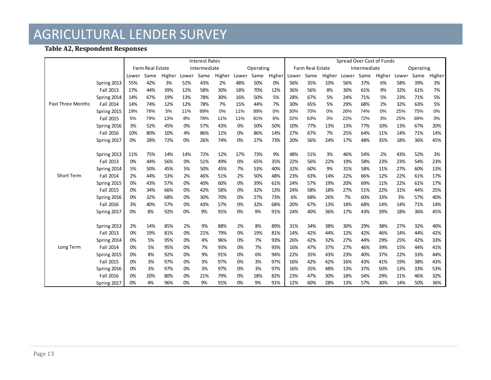#### **Table A2, Respondent Responses**

|                   |                  |                                  |        |       |      | <b>Interest Rates</b> |           |      |        | Spread Over Cost of Funds |      |        |              |      |        |           |      |        |     |
|-------------------|------------------|----------------------------------|--------|-------|------|-----------------------|-----------|------|--------|---------------------------|------|--------|--------------|------|--------|-----------|------|--------|-----|
|                   |                  | Farm Real Estate<br>Intermediate |        |       |      |                       | Operating |      |        | Farm Real Estate          |      |        | Intermediate |      |        | Operating |      |        |     |
|                   | Lower            | Same                             | Higher | Lower | Same | Higher                | Lower     | Same | Higher | Lower                     | Same | Higher | Lower        | Same | Higher | Lower     | Same | Higher |     |
|                   | Spring 2013      | 55%                              | 42%    | 3%    | 52%  | 43%                   | 2%        | 48%  | 50%    | 0%                        | 56%  | 35%    | 10%          | 56%  | 37%    | 6%        | 58%  | 39%    | 3%  |
|                   | Fall 2013        | 17%                              | 44%    | 39%   | 12%  | 58%                   | 30%       | 18%  | 70%    | 12%                       | 36%  | 56%    | 8%           | 30%  | 61%    | 9%        | 32%  | 61%    | 7%  |
|                   | Spring 2014      | 14%                              | 67%    | 19%   | 13%  | 78%                   | 30%       | 16%  | 50%    | 5%                        | 28%  | 67%    | 5%           | 24%  | 71%    | 5%        | 23%  | 71%    | 5%  |
| Past Three Months | <b>Fall 2014</b> | 14%                              | 74%    | 12%   | 12%  | 78%                   | 7%        | 15%  | 44%    | 7%                        | 30%  | 65%    | 5%           | 29%  | 68%    | 2%        | 32%  | 63%    | 5%  |
|                   | Spring 2015      | 19%                              | 76%    | 5%    | 11%  | 89%                   | 0%        | 11%  | 89%    | 0%                        | 30%  | 70%    | 0%           | 26%  | 74%    | 0%        | 25%  | 75%    | 0%  |
|                   | <b>Fall 2015</b> | 5%                               | 79%    | 13%   | 8%   | 78%                   | 11%       | 11%  | 81%    | 6%                        | 32%  | 63%    | 3%           | 22%  | 72%    | 3%        | 25%  | 69%    | 3%  |
|                   | Spring 2016      | 3%                               | 52%    | 45%   | 0%   | 57%                   | 43%       | 0%   | 50%    | 50%                       | 10%  | 77%    | 13%          | 13%  | 77%    | 10%       | 13%  | 67%    | 20% |
|                   | Fall 2016        | 10%                              | 80%    | 10%   | 4%   | 86%                   | 11%       | 0%   | 86%    | 14%                       | 27%  | 67%    | 7%           | 25%  | 64%    | 11%       | 14%  | 71%    | 14% |
|                   | Spring 2017      | 0%                               | 28%    | 72%   | 0%   | 26%                   | 74%       | 0%   | 27%    | 73%                       | 20%  | 56%    | 24%          | 17%  | 48%    | 35%       | 18%  | 36%    | 45% |
|                   |                  |                                  |        |       |      |                       |           |      |        |                           |      |        |              |      |        |           |      |        |     |
|                   | Spring 2013      | 11%                              | 75%    | 14%   | 14%  | 72%                   | 12%       | 17%  | 73%    | 9%                        | 48%  | 51%    | 3%           | 46%  | 54%    | 2%        | 43%  | 52%    | 3%  |
|                   | Fall 2013        | 0%                               | 44%    | 56%   | 0%   | 51%                   | 49%       | 0%   | 65%    | 35%                       | 22%  | 56%    | 22%          | 19%  | 58%    | 23%       | 23%  | 54%    | 23% |
|                   | Spring 2014      | 5%                               | 50%    | 45%   | 5%   | 50%                   | 45%       | 7%   | 53%    | 40%                       | 32%  | 60%    | 9%           | 31%  | 58%    | 11%       | 27%  | 60%    | 13% |
| <b>Short Term</b> | Fall 2014        | 2%                               | 44%    | 53%   | 2%   | 46%                   | 51%       | 2%   | 50%    | 48%                       | 23%  | 63%    | 14%          | 22%  | 66%    | 12%       | 22%  | 61%    | 17% |
|                   | Spring 2015      | 0%                               | 43%    | 57%   | 0%   | 40%                   | 60%       | 0%   | 39%    | 61%                       | 24%  | 57%    | 19%          | 20%  | 69%    | 11%       | 22%  | 61%    | 17% |
|                   | Fall 2015        | 0%                               | 34%    | 66%   | 0%   | 42%                   | 58%       | 0%   | 32%    | 13%                       | 24%  | 58%    | 18%          | 27%  | 51%    | 22%       | 31%  | 44%    | 25% |
|                   | Spring 2016      | 0%                               | 32%    | 68%   | 0%   | 30%                   | 70%       | 0%   | 27%    | 73%                       | 6%   | 68%    | 26%          | 7%   | 60%    | 33%       | 3%   | 57%    | 40% |
|                   | Fall 2016        | 3%                               | 40%    | 57%   | 0%   | 43%                   | 57%       | 0%   | 32%    | 68%                       | 20%  | 67%    | 13%          | 18%  | 68%    | 14%       | 14%  | 71%    | 14% |
|                   | Spring 2017      | 0%                               | 8%     | 92%   | 0%   | 9%                    | 91%       | 0%   | 9%     | 91%                       | 24%  | 40%    | 36%          | 17%  | 43%    | 39%       | 18%  | 36%    | 45% |
|                   |                  |                                  |        |       |      |                       |           |      |        |                           |      |        |              |      |        |           |      |        |     |
|                   | Spring 2013      | 2%                               | 14%    | 85%   | 2%   | 9%                    | 88%       | 2%   | 8%     | 89%                       | 31%  | 34%    | 38%          | 30%  | 29%    | 38%       | 27%  | 32%    | 40% |
|                   | Fall 2013        | 0%                               | 19%    | 81%   | 0%   | 21%                   | 79%       | 0%   | 19%    | 81%                       | 14%  | 42%    | 44%          | 12%  | 42%    | 46%       | 14%  | 44%    | 42% |
|                   | Spring 2014      | 0%                               | 5%     | 95%   | 0%   | 4%                    | 96%       | 0%   | 7%     | 93%                       | 26%  | 42%    | 32%          | 27%  | 44%    | 29%       | 25%  | 42%    | 33% |
| Long Term         | Fall 2014        | 0%                               | 5%     | 95%   | 0%   | 7%                    | 93%       | 0%   | 7%     | 93%                       | 16%  | 47%    | 37%          | 27%  | 46%    | 39%       | 15%  | 44%    | 41% |
|                   | Spring 2015      | 0%                               | 8%     | 92%   | 0%   | 9%                    | 91%       | 0%   | 6%     | 94%                       | 22%  | 35%    | 43%          | 23%  | 40%    | 37%       | 22%  | 33%    | 44% |
|                   | Fall 2015        | 0%                               | 3%     | 97%   | 0%   | 3%                    | 97%       | 0%   | 3%     | 97%                       | 16%  | 42%    | 42%          | 16%  | 43%    | 41%       | 19%  | 38%    | 43% |
|                   | Spring 2016      | 0%                               | 3%     | 97%   | 0%   | 3%                    | 97%       | 0%   | 3%     | 97%                       | 16%  | 35%    | 48%          | 13%  | 37%    | 50%       | 13%  | 33%    | 53% |
|                   | Fall 2016        | 0%                               | 20%    | 80%   | 0%   | 21%                   | 79%       | 0%   | 18%    | 82%                       | 23%  | 47%    | 30%          | 18%  | 54%    | 29%       | 21%  | 46%    | 32% |
|                   | Spring 2017      | 0%                               | 4%     | 96%   | 0%   | 9%                    | 91%       | 0%   | 9%     | 91%                       | 12%  | 60%    | 28%          | 13%  | 57%    | 30%       | 14%  | 50%    | 36% |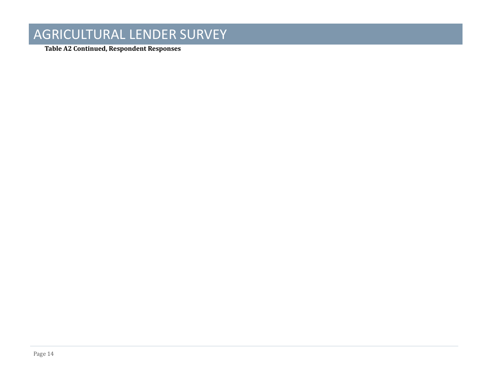**Table A2 Continued, Respondent Responses**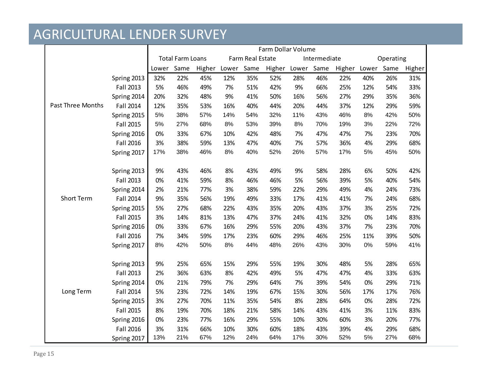|                          |                  | Farm Dollar Volume |                         |        |       |                  |        |       |              |        |           |      |        |  |
|--------------------------|------------------|--------------------|-------------------------|--------|-------|------------------|--------|-------|--------------|--------|-----------|------|--------|--|
|                          |                  |                    | <b>Total Farm Loans</b> |        |       | Farm Real Estate |        |       | Intermediate |        | Operating |      |        |  |
|                          |                  | Lower              | Same                    | Higher | Lower | Same             | Higher | Lower | Same         | Higher | Lower     | Same | Higher |  |
|                          | Spring 2013      | 32%                | 22%                     | 45%    | 12%   | 35%              | 52%    | 28%   | 46%          | 22%    | 40%       | 26%  | 31%    |  |
|                          | Fall 2013        | 5%                 | 46%                     | 49%    | 7%    | 51%              | 42%    | 9%    | 66%          | 25%    | 12%       | 54%  | 33%    |  |
|                          | Spring 2014      | 20%                | 32%                     | 48%    | 9%    | 41%              | 50%    | 16%   | 56%          | 27%    | 29%       | 35%  | 36%    |  |
| <b>Past Three Months</b> | Fall 2014        | 12%                | 35%                     | 53%    | 16%   | 40%              | 44%    | 20%   | 44%          | 37%    | 12%       | 29%  | 59%    |  |
|                          | Spring 2015      | 5%                 | 38%                     | 57%    | 14%   | 54%              | 32%    | 11%   | 43%          | 46%    | 8%        | 42%  | 50%    |  |
|                          | Fall 2015        | 5%                 | 27%                     | 68%    | 8%    | 53%              | 39%    | 8%    | 70%          | 19%    | 3%        | 22%  | 72%    |  |
|                          | Spring 2016      | 0%                 | 33%                     | 67%    | 10%   | 42%              | 48%    | 7%    | 47%          | 47%    | 7%        | 23%  | 70%    |  |
|                          | Fall 2016        | 3%                 | 38%                     | 59%    | 13%   | 47%              | 40%    | 7%    | 57%          | 36%    | 4%        | 29%  | 68%    |  |
|                          | Spring 2017      | 17%                | 38%                     | 46%    | 8%    | 40%              | 52%    | 26%   | 57%          | 17%    | $5%$      | 45%  | 50%    |  |
|                          |                  |                    |                         |        |       |                  |        |       |              |        |           |      |        |  |
|                          | Spring 2013      | 9%                 | 43%                     | 46%    | 8%    | 43%              | 49%    | 9%    | 58%          | 28%    | 6%        | 50%  | 42%    |  |
|                          | Fall 2013        | 0%                 | 41%                     | 59%    | 8%    | 46%              | 46%    | 5%    | 56%          | 39%    | 5%        | 40%  | 54%    |  |
|                          | Spring 2014      | 2%                 | 21%                     | 77%    | 3%    | 38%              | 59%    | 22%   | 29%          | 49%    | 4%        | 24%  | 73%    |  |
| <b>Short Term</b>        | Fall 2014        | 9%                 | 35%                     | 56%    | 19%   | 49%              | 33%    | 17%   | 41%          | 41%    | 7%        | 24%  | 68%    |  |
|                          | Spring 2015      | 5%                 | 27%                     | 68%    | 22%   | 43%              | 35%    | 20%   | 43%          | 37%    | 3%        | 25%  | 72%    |  |
|                          | Fall 2015        | 3%                 | 14%                     | 81%    | 13%   | 47%              | 37%    | 24%   | 41%          | 32%    | 0%        | 14%  | 83%    |  |
|                          | Spring 2016      | 0%                 | 33%                     | 67%    | 16%   | 29%              | 55%    | 20%   | 43%          | 37%    | 7%        | 23%  | 70%    |  |
|                          | Fall 2016        | 7%                 | 34%                     | 59%    | 17%   | 23%              | 60%    | 29%   | 46%          | 25%    | 11%       | 39%  | 50%    |  |
|                          | Spring 2017      | 8%                 | 42%                     | 50%    | $8%$  | 44%              | 48%    | 26%   | 43%          | 30%    | 0%        | 59%  | 41%    |  |
|                          |                  |                    |                         |        |       |                  |        |       |              |        |           |      |        |  |
|                          | Spring 2013      | 9%                 | 25%                     | 65%    | 15%   | 29%              | 55%    | 19%   | 30%          | 48%    | 5%        | 28%  | 65%    |  |
|                          | Fall 2013        | 2%                 | 36%                     | 63%    | 8%    | 42%              | 49%    | 5%    | 47%          | 47%    | 4%        | 33%  | 63%    |  |
|                          | Spring 2014      | 0%                 | 21%                     | 79%    | 7%    | 29%              | 64%    | 7%    | 39%          | 54%    | 0%        | 29%  | 71%    |  |
| Long Term                | Fall 2014        | 5%                 | 23%                     | 72%    | 14%   | 19%              | 67%    | 15%   | 30%          | 56%    | 17%       | 17%  | 76%    |  |
|                          | Spring 2015      | 3%                 | 27%                     | 70%    | 11%   | 35%              | 54%    | 8%    | 28%          | 64%    | 0%        | 28%  | 72%    |  |
|                          | Fall 2015        | 8%                 | 19%                     | 70%    | 18%   | 21%              | 58%    | 14%   | 43%          | 41%    | 3%        | 11%  | 83%    |  |
|                          | Spring 2016      | 0%                 | 23%                     | 77%    | 16%   | 29%              | 55%    | 10%   | 30%          | 60%    | 3%        | 20%  | 77%    |  |
|                          | <b>Fall 2016</b> | 3%                 | 31%                     | 66%    | 10%   | 30%              | 60%    | 18%   | 43%          | 39%    | 4%        | 29%  | 68%    |  |
|                          | Spring 2017      | 13%                | 21%                     | 67%    | 12%   | 24%              | 64%    | 17%   | 30%          | 52%    | 5%        | 27%  | 68%    |  |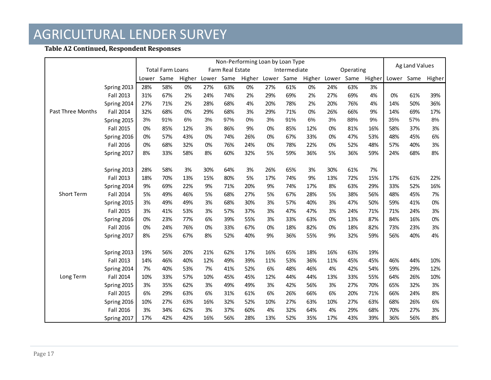#### **Table A2 Continued, Respondent Responses**

|                   |                  | Non-Performing Loan by Loan Type |                         |        |       |                  |        |       |              |        |       |           |        |       | Ag Land Values |        |  |
|-------------------|------------------|----------------------------------|-------------------------|--------|-------|------------------|--------|-------|--------------|--------|-------|-----------|--------|-------|----------------|--------|--|
|                   |                  |                                  | <b>Total Farm Loans</b> |        |       | Farm Real Estate |        |       | Intermediate |        |       | Operating |        |       |                |        |  |
|                   |                  | Lower                            | Same                    | Higher | Lower | Same             | Higher | Lower | Same         | Higher | Lower | Same      | Higher | Lower | Same           | Higher |  |
|                   | Spring 2013      | 28%                              | 58%                     | 0%     | 27%   | 63%              | 0%     | 27%   | 61%          | 0%     | 24%   | 63%       | 3%     |       |                |        |  |
|                   | Fall 2013        | 31%                              | 67%                     | 2%     | 24%   | 74%              | 2%     | 29%   | 69%          | 2%     | 27%   | 69%       | 4%     | 0%    | 61%            | 39%    |  |
|                   | Spring 2014      | 27%                              | 71%                     | 2%     | 28%   | 68%              | 4%     | 20%   | 78%          | 2%     | 20%   | 76%       | 4%     | 14%   | 50%            | 36%    |  |
| Past Three Months | <b>Fall 2014</b> | 32%                              | 68%                     | 0%     | 29%   | 68%              | 3%     | 29%   | 71%          | 0%     | 26%   | 66%       | 9%     | 14%   | 69%            | 17%    |  |
|                   | Spring 2015      | 3%                               | 91%                     | 6%     | 3%    | 97%              | 0%     | 3%    | 91%          | 6%     | 3%    | 88%       | 9%     | 35%   | 57%            | 8%     |  |
|                   | Fall 2015        | 0%                               | 85%                     | 12%    | 3%    | 86%              | 9%     | 0%    | 85%          | 12%    | 0%    | 81%       | 16%    | 58%   | 37%            | 3%     |  |
|                   | Spring 2016      | 0%                               | 57%                     | 43%    | 0%    | 74%              | 26%    | 0%    | 67%          | 33%    | 0%    | 47%       | 53%    | 48%   | 45%            | 6%     |  |
|                   | Fall 2016        | 0%                               | 68%                     | 32%    | 0%    | 76%              | 24%    | 0%    | 78%          | 22%    | 0%    | 52%       | 48%    | 57%   | 40%            | 3%     |  |
|                   | Spring 2017      | 8%                               | 33%                     | 58%    | 8%    | 60%              | 32%    | 5%    | 59%          | 36%    | 5%    | 36%       | 59%    | 24%   | 68%            | 8%     |  |
|                   |                  |                                  |                         |        |       |                  |        |       |              |        |       |           |        |       |                |        |  |
|                   | Spring 2013      | 28%                              | 58%                     | 3%     | 30%   | 64%              | 3%     | 26%   | 65%          | 3%     | 30%   | 61%       | 7%     |       |                |        |  |
|                   | Fall 2013        | 18%                              | 70%                     | 13%    | 15%   | 80%              | 5%     | 17%   | 74%          | 9%     | 13%   | 72%       | 15%    | 17%   | 61%            | 22%    |  |
|                   | Spring 2014      | 9%                               | 69%                     | 22%    | 9%    | 71%              | 20%    | 9%    | 74%          | 17%    | 8%    | 63%       | 29%    | 33%   | 52%            | 16%    |  |
| <b>Short Term</b> | Fall 2014        | 5%                               | 49%                     | 46%    | 5%    | 68%              | 27%    | 5%    | 67%          | 28%    | 5%    | 38%       | 56%    | 48%   | 45%            | 7%     |  |
|                   | Spring 2015      | 3%                               | 49%                     | 49%    | 3%    | 68%              | 30%    | 3%    | 57%          | 40%    | 3%    | 47%       | 50%    | 59%   | 41%            | 0%     |  |
|                   | Fall 2015        | 3%                               | 41%                     | 53%    | 3%    | 57%              | 37%    | 3%    | 47%          | 47%    | 3%    | 24%       | 71%    | 71%   | 24%            | 3%     |  |
|                   | Spring 2016      | 0%                               | 23%                     | 77%    | 6%    | 39%              | 55%    | 3%    | 33%          | 63%    | 0%    | 13%       | 87%    | 84%   | 16%            | 0%     |  |
|                   | Fall 2016        | 0%                               | 24%                     | 76%    | 0%    | 33%              | 67%    | 0%    | 18%          | 82%    | 0%    | 18%       | 82%    | 73%   | 23%            | 3%     |  |
|                   | Spring 2017      | 8%                               | 25%                     | 67%    | 8%    | 52%              | 40%    | 9%    | 36%          | 55%    | 9%    | 32%       | 59%    | 56%   | 40%            | 4%     |  |
|                   |                  |                                  |                         |        |       |                  |        |       |              |        |       |           |        |       |                |        |  |
|                   | Spring 2013      | 19%                              | 56%                     | 20%    | 21%   | 62%              | 17%    | 16%   | 65%          | 18%    | 16%   | 63%       | 19%    |       |                |        |  |
|                   | Fall 2013        | 14%                              | 46%                     | 40%    | 12%   | 49%              | 39%    | 11%   | 53%          | 36%    | 11%   | 45%       | 45%    | 46%   | 44%            | 10%    |  |
|                   | Spring 2014      | 7%                               | 40%                     | 53%    | 7%    | 41%              | 52%    | 6%    | 48%          | 46%    | 4%    | 42%       | 54%    | 59%   | 29%            | 12%    |  |
| Long Term         | Fall 2014        | 10%                              | 33%                     | 57%    | 10%   | 45%              | 45%    | 12%   | 44%          | 44%    | 13%   | 33%       | 55%    | 64%   | 26%            | 10%    |  |
|                   | Spring 2015      | 3%                               | 35%                     | 62%    | 3%    | 49%              | 49%    | 3%    | 42%          | 56%    | 3%    | 27%       | 70%    | 65%   | 32%            | 3%     |  |
|                   | Fall 2015        | 6%                               | 29%                     | 63%    | 6%    | 31%              | 61%    | 6%    | 26%          | 66%    | 6%    | 20%       | 71%    | 66%   | 24%            | 8%     |  |
|                   | Spring 2016      | 10%                              | 27%                     | 63%    | 16%   | 32%              | 52%    | 10%   | 27%          | 63%    | 10%   | 27%       | 63%    | 68%   | 26%            | 6%     |  |
|                   | Fall 2016        | 3%                               | 34%                     | 62%    | 3%    | 37%              | 60%    | 4%    | 32%          | 64%    | 4%    | 29%       | 68%    | 70%   | 27%            | 3%     |  |
|                   | Spring 2017      | 17%                              | 42%                     | 42%    | 16%   | 56%              | 28%    | 13%   | 52%          | 35%    | 17%   | 43%       | 39%    | 36%   | 56%            | 8%     |  |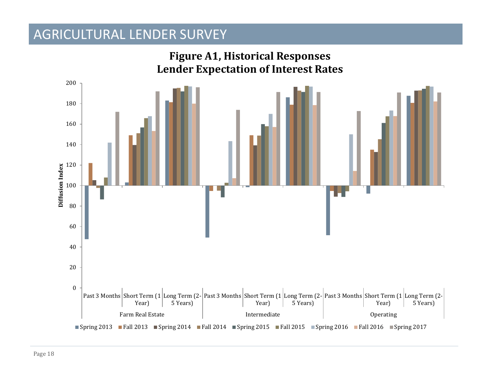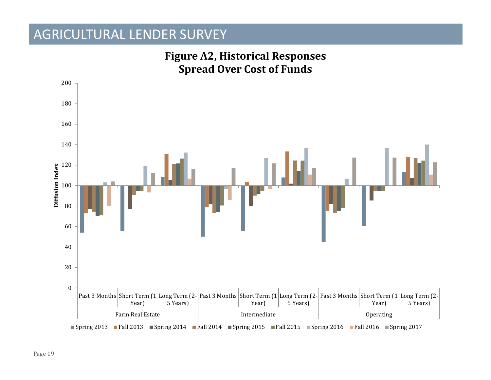

# **Figure A2, Historical Responses**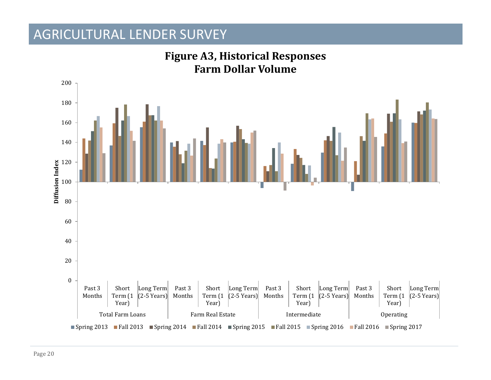

### **Figure A3, Historical Responses Farm Dollar Volume**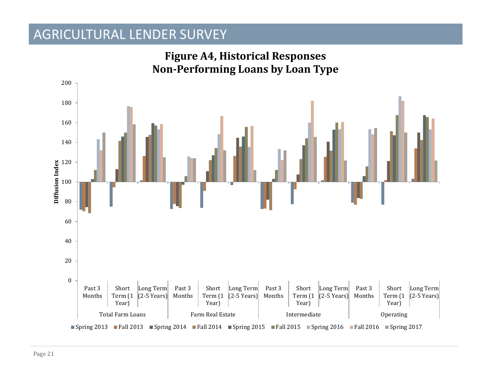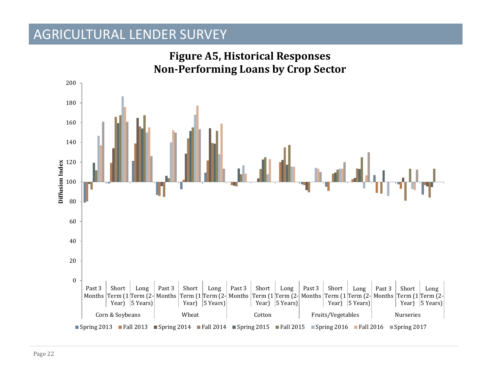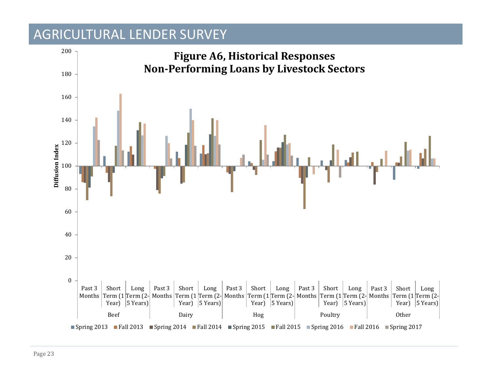